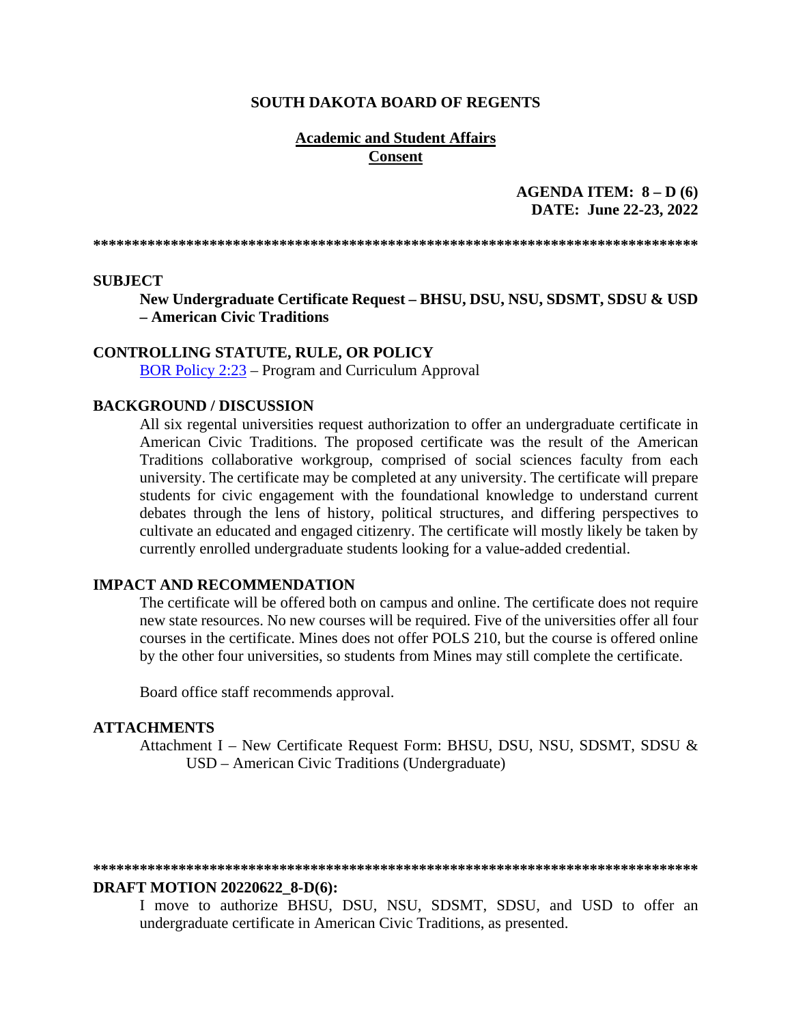#### **SOUTH DAKOTA BOARD OF REGENTS**

### **Academic and Student Affairs Consent**

### **AGENDA ITEM: 8 – D (6) DATE: June 22-23, 2022**

**\*\*\*\*\*\*\*\*\*\*\*\*\*\*\*\*\*\*\*\*\*\*\*\*\*\*\*\*\*\*\*\*\*\*\*\*\*\*\*\*\*\*\*\*\*\*\*\*\*\*\*\*\*\*\*\*\*\*\*\*\*\*\*\*\*\*\*\*\*\*\*\*\*\*\*\*\*\*** 

#### **SUBJECT**

**New Undergraduate Certificate Request – BHSU, DSU, NSU, SDSMT, SDSU & USD – American Civic Traditions**

#### **CONTROLLING STATUTE, RULE, OR POLICY**

[BOR Policy 2:23](https://www.sdbor.edu/policy/Documents/2-23.pdf) – Program and Curriculum Approval

### **BACKGROUND / DISCUSSION**

All six regental universities request authorization to offer an undergraduate certificate in American Civic Traditions. The proposed certificate was the result of the American Traditions collaborative workgroup, comprised of social sciences faculty from each university. The certificate may be completed at any university. The certificate will prepare students for civic engagement with the foundational knowledge to understand current debates through the lens of history, political structures, and differing perspectives to cultivate an educated and engaged citizenry. The certificate will mostly likely be taken by currently enrolled undergraduate students looking for a value-added credential.

### **IMPACT AND RECOMMENDATION**

The certificate will be offered both on campus and online. The certificate does not require new state resources. No new courses will be required. Five of the universities offer all four courses in the certificate. Mines does not offer POLS 210, but the course is offered online by the other four universities, so students from Mines may still complete the certificate.

Board office staff recommends approval.

#### **ATTACHMENTS**

Attachment I – New Certificate Request Form: BHSU, DSU, NSU, SDSMT, SDSU & USD – American Civic Traditions (Undergraduate)

#### **\*\*\*\*\*\*\*\*\*\*\*\*\*\*\*\*\*\*\*\*\*\*\*\*\*\*\*\*\*\*\*\*\*\*\*\*\*\*\*\*\*\*\*\*\*\*\*\*\*\*\*\*\*\*\*\*\*\*\*\*\*\*\*\*\*\*\*\*\*\*\*\*\*\*\*\*\*\***

#### **DRAFT MOTION 20220622\_8-D(6):**

I move to authorize BHSU, DSU, NSU, SDSMT, SDSU, and USD to offer an undergraduate certificate in American Civic Traditions, as presented.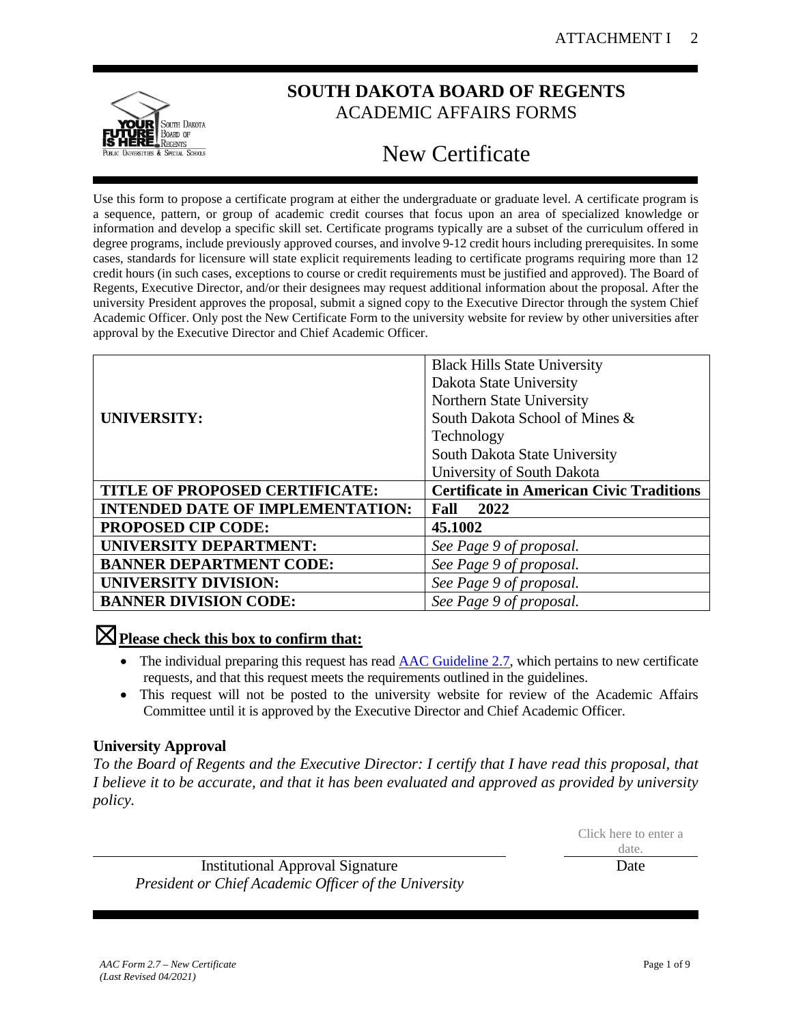

# **SOUTH DAKOTA BOARD OF REGENTS** ACADEMIC AFFAIRS FORMS

# New Certificate

Use this form to propose a certificate program at either the undergraduate or graduate level. A certificate program is a sequence, pattern, or group of academic credit courses that focus upon an area of specialized knowledge or information and develop a specific skill set. Certificate programs typically are a subset of the curriculum offered in degree programs, include previously approved courses, and involve 9-12 credit hours including prerequisites. In some cases, standards for licensure will state explicit requirements leading to certificate programs requiring more than 12 credit hours (in such cases, exceptions to course or credit requirements must be justified and approved). The Board of Regents, Executive Director, and/or their designees may request additional information about the proposal. After the university President approves the proposal, submit a signed copy to the Executive Director through the system Chief Academic Officer. Only post the New Certificate Form to the university website for review by other universities after approval by the Executive Director and Chief Academic Officer.

|                                         | <b>Black Hills State University</b>             |  |
|-----------------------------------------|-------------------------------------------------|--|
|                                         | Dakota State University                         |  |
|                                         | Northern State University                       |  |
| <b>UNIVERSITY:</b>                      | South Dakota School of Mines &                  |  |
|                                         | Technology                                      |  |
|                                         | South Dakota State University                   |  |
|                                         | University of South Dakota                      |  |
| TITLE OF PROPOSED CERTIFICATE:          | <b>Certificate in American Civic Traditions</b> |  |
| <b>INTENDED DATE OF IMPLEMENTATION:</b> | 2022<br>Fall                                    |  |
| <b>PROPOSED CIP CODE:</b>               | 45.1002                                         |  |
| <b>UNIVERSITY DEPARTMENT:</b>           | See Page 9 of proposal.                         |  |
| <b>BANNER DEPARTMENT CODE:</b>          | See Page 9 of proposal.                         |  |
| <b>UNIVERSITY DIVISION:</b>             | See Page 9 of proposal.                         |  |
| <b>BANNER DIVISION CODE:</b>            | See Page 9 of proposal.                         |  |

# ☒**Please check this box to confirm that:**

- The individual preparing this request has read **AAC Guideline 2.7**, which pertains to new certificate requests, and that this request meets the requirements outlined in the guidelines.
- This request will not be posted to the university website for review of the Academic Affairs Committee until it is approved by the Executive Director and Chief Academic Officer.

# **University Approval**

*To the Board of Regents and the Executive Director: I certify that I have read this proposal, that I believe it to be accurate, and that it has been evaluated and approved as provided by university policy.*

> Click here to enter a date.

Institutional Approval Signature *President or Chief Academic Officer of the University* Date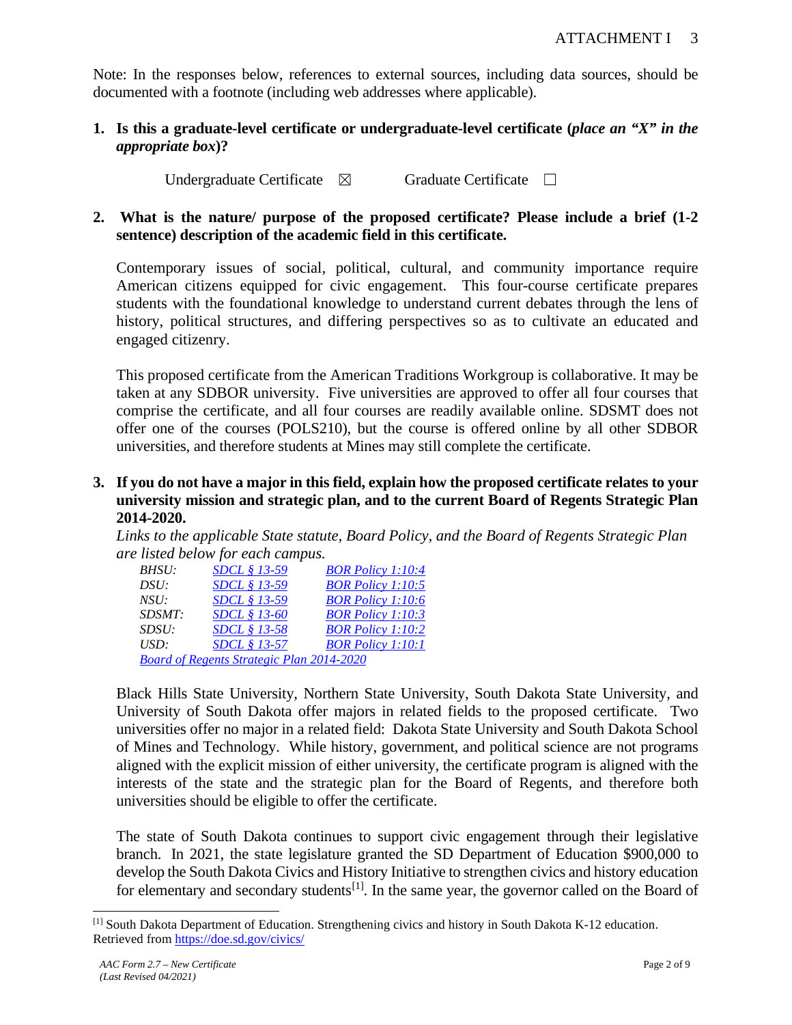Note: In the responses below, references to external sources, including data sources, should be documented with a footnote (including web addresses where applicable).

**1. Is this a graduate-level certificate or undergraduate-level certificate (***place an "X" in the appropriate box***)?**

Undergraduate Certificate ⊠ Graduate Certificate □

**2. What is the nature/ purpose of the proposed certificate? Please include a brief (1-2 sentence) description of the academic field in this certificate.**

Contemporary issues of social, political, cultural, and community importance require American citizens equipped for civic engagement. This four-course certificate prepares students with the foundational knowledge to understand current debates through the lens of history, political structures, and differing perspectives so as to cultivate an educated and engaged citizenry.

This proposed certificate from the American Traditions Workgroup is collaborative. It may be taken at any SDBOR university. Five universities are approved to offer all four courses that comprise the certificate, and all four courses are readily available online. SDSMT does not offer one of the courses (POLS210), but the course is offered online by all other SDBOR universities, and therefore students at Mines may still complete the certificate.

**3. If you do not have a major in this field, explain how the proposed certificate relates to your university mission and strategic plan, and to the current Board of Regents Strategic Plan 2014-2020.**

*Links to the applicable State statute, Board Policy, and the Board of Regents Strategic Plan are listed below for each campus.* 

| <i>BHSU:</i> | <i>SDCL § 13-59</i>                              | <b>BOR Policy 1:10:4</b> |
|--------------|--------------------------------------------------|--------------------------|
| DSU:         | SDCL § 13-59                                     | <b>BOR Policy 1:10:5</b> |
| NSU:         | <i>SDCL § 13-59</i>                              | <b>BOR Policy 1:10:6</b> |
| SDSMT:       | SDCL § 13-60                                     | <b>BOR Policy 1:10:3</b> |
| SDSU:        | SDCL § 13-58                                     | <b>BOR Policy 1:10:2</b> |
| USD:         | <i>SDCL</i> § 13-57                              | <b>BOR Policy 1:10:1</b> |
|              | <b>Board of Regents Strategic Plan 2014-2020</b> |                          |

Black Hills State University, Northern State University, South Dakota State University, and University of South Dakota offer majors in related fields to the proposed certificate. Two universities offer no major in a related field: Dakota State University and South Dakota School of Mines and Technology. While history, government, and political science are not programs aligned with the explicit mission of either university, the certificate program is aligned with the interests of the state and the strategic plan for the Board of Regents, and therefore both universities should be eligible to offer the certificate.

The state of South Dakota continues to support civic engagement through their legislative branch. In 2021, the state legislature granted the SD Department of Education \$900,000 to develop the South Dakota Civics and History Initiative to strengthen civics and history education for elementary and secondary students<sup>[\[1\]](#page-2-0)</sup>. In the same year, the governor called on the Board of

<span id="page-2-0"></span><sup>[1]</sup> South Dakota Department of Education. Strengthening civics and history in South Dakota K-12 education. Retrieved from [https://doe.sd.gov/civics/](https://nam02.safelinks.protection.outlook.com/?url=https%3A%2F%2Fdoe.sd.gov%2Fcivics%2F&data=04%7C01%7CRebecca.Hoey%40sdbor.edu%7C976371941b884e69e8ab08d9f0d6f73a%7Cd4ce78799b8d4aab9dc59271c8455e07%7C0%7C0%7C637805628336732049%7CUnknown%7CTWFpbGZsb3d8eyJWIjoiMC4wLjAwMDAiLCJQIjoiV2luMzIiLCJBTiI6Ik1haWwiLCJXVCI6Mn0%3D%7C3000&sdata=yJfC6Agb%2BrNFrpjSmUcjb7mK4e80zBf2PYGhUZO%2Fqqo%3D&reserved=0)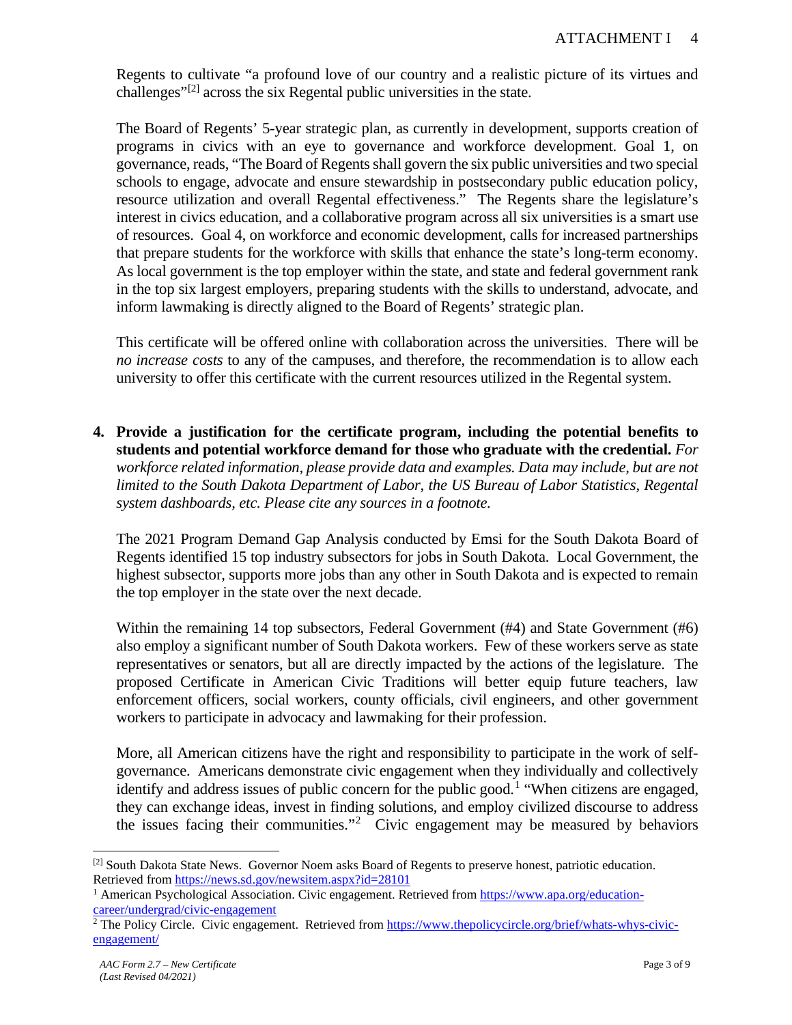Regents to cultivate "a profound love of our country and a realistic picture of its virtues and challenges" $[2]$  across the six Regental public universities in the state.

The Board of Regents' 5-year strategic plan, as currently in development, supports creation of programs in civics with an eye to governance and workforce development. Goal 1, on governance, reads, "The Board of Regents shall govern the six public universities and two special schools to engage, advocate and ensure stewardship in postsecondary public education policy, resource utilization and overall Regental effectiveness." The Regents share the legislature's interest in civics education, and a collaborative program across all six universities is a smart use of resources. Goal 4, on workforce and economic development, calls for increased partnerships that prepare students for the workforce with skills that enhance the state's long-term economy. As local government is the top employer within the state, and state and federal government rank in the top six largest employers, preparing students with the skills to understand, advocate, and inform lawmaking is directly aligned to the Board of Regents' strategic plan.

This certificate will be offered online with collaboration across the universities. There will be *no increase costs* to any of the campuses, and therefore, the recommendation is to allow each university to offer this certificate with the current resources utilized in the Regental system.

**4. Provide a justification for the certificate program, including the potential benefits to students and potential workforce demand for those who graduate with the credential.** *For workforce related information, please provide data and examples. Data may include, but are not limited to the South Dakota Department of Labor, the US Bureau of Labor Statistics, Regental system dashboards, etc. Please cite any sources in a footnote.*

The 2021 Program Demand Gap Analysis conducted by Emsi for the South Dakota Board of Regents identified 15 top industry subsectors for jobs in South Dakota. Local Government, the highest subsector, supports more jobs than any other in South Dakota and is expected to remain the top employer in the state over the next decade.

Within the remaining 14 top subsectors, Federal Government (#4) and State Government (#6) also employ a significant number of South Dakota workers. Few of these workers serve as state representatives or senators, but all are directly impacted by the actions of the legislature. The proposed Certificate in American Civic Traditions will better equip future teachers, law enforcement officers, social workers, county officials, civil engineers, and other government workers to participate in advocacy and lawmaking for their profession.

More, all American citizens have the right and responsibility to participate in the work of selfgovernance. Americans demonstrate civic engagement when they individually and collectively identify and address issues of public concern for the public good.<sup>[1](#page-3-1)</sup> "When citizens are engaged, they can exchange ideas, invest in finding solutions, and employ civilized discourse to address the issues facing their communities."<sup>[2](#page-3-2)</sup> Civic engagement may be measured by behaviors

<span id="page-3-0"></span><sup>&</sup>lt;sup>[2]</sup> South Dakota State News. Governor Noem asks Board of Regents to preserve honest, patriotic education. Retrieved from https://news.sd.gov/newsitem.aspx?id=28101<br><sup>1</sup> American Psychological Association. Civic engagement. Retrieved from [https://www.apa.org/education-](https://www.apa.org/education-career/undergrad/civic-engagement)

<span id="page-3-1"></span> $\frac{\text{career/undergrad/civic-engagement}}{2}$  The Policy Circle. Civic engagement. Retrieved from [https://www.thepolicycircle.org/brief/whats-whys-civic-](https://www.thepolicycircle.org/brief/whats-whys-civic-engagement/)

<span id="page-3-2"></span>[engagement/](https://www.thepolicycircle.org/brief/whats-whys-civic-engagement/)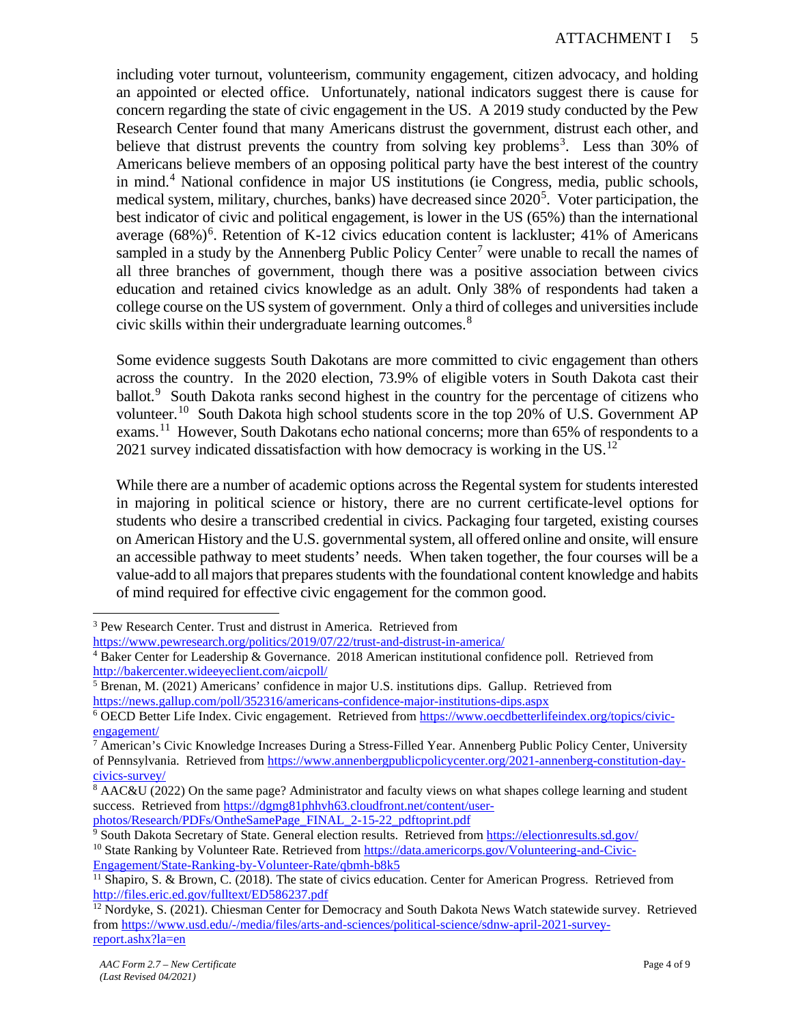including voter turnout, volunteerism, community engagement, citizen advocacy, and holding an appointed or elected office. Unfortunately, national indicators suggest there is cause for concern regarding the state of civic engagement in the US. A 2019 study conducted by the Pew Research Center found that many Americans distrust the government, distrust each other, and believe that distrust prevents the country from solving key problems<sup>[3](#page-4-0)</sup>. Less than 30% of Americans believe members of an opposing political party have the best interest of the country in mind.[4](#page-4-1) National confidence in major US institutions (ie Congress, media, public schools, medical system, military, churches, banks) have decreased since 2020<sup>[5](#page-4-2)</sup>. Voter participation, the best indicator of civic and political engagement, is lower in the US (65%) than the international average  $(68\%)^6$  $(68\%)^6$  $(68\%)^6$ . Retention of K-12 civics education content is lackluster; 41% of Americans sampled in a study by the Annenberg Public Policy Center<sup>[7](#page-4-4)</sup> were unable to recall the names of all three branches of government, though there was a positive association between civics education and retained civics knowledge as an adult. Only 38% of respondents had taken a college course on the US system of government. Only a third of colleges and universities include civic skills within their undergraduate learning outcomes. $8$ 

Some evidence suggests South Dakotans are more committed to civic engagement than others across the country. In the 2020 election, 73.9% of eligible voters in South Dakota cast their ballot.<sup>[9](#page-4-6)</sup> South Dakota ranks second highest in the country for the percentage of citizens who volunteer.[10](#page-4-7) South Dakota high school students score in the top 20% of U.S. Government AP exams.<sup>11</sup> However, South Dakotans echo national concerns; more than 65% of respondents to a 2021 survey indicated dissatisfaction with how democracy is working in the US.<sup>[12](#page-4-9)</sup>

While there are a number of academic options across the Regental system for students interested in majoring in political science or history, there are no current certificate-level options for students who desire a transcribed credential in civics. Packaging four targeted, existing courses on American History and the U.S. governmental system, all offered online and onsite, will ensure an accessible pathway to meet students' needs. When taken together, the four courses will be a value-add to all majors that prepares students with the foundational content knowledge and habits of mind required for effective civic engagement for the common good.

<span id="page-4-7"></span><span id="page-4-6"></span>photos/Research/PDFs/OntheSamePage\_FINAL\_2-15-22\_pdftoprint.pdf<br>
<sup>9</sup> South Dakota Secretary of State. General election results. Retrieved from https://electionresults.sd.gov/<br>
<sup>10</sup> State Ranking by Volunteer Rate. Retrieve

<span id="page-4-0"></span><sup>3</sup> Pew Research Center. Trust and distrust in America. Retrieved from

<span id="page-4-1"></span>https://www.pewresearch.org/politics/2019/07/22/trust-and-distrust-in-america/<br><sup>4</sup> Baker Center for Leadership & Governance. 2018 American institutional confidence poll. Retrieved from http://bakercenter.wideeyeclient.com/aicpoll/<br><sup>5</sup> Brenan, M. (2021) Americans' confidence in major U.S. institutions dips. Gallup. Retrieved from

<span id="page-4-2"></span><https://news.gallup.com/poll/352316/americans-confidence-major-institutions-dips.aspx>6 OECD Better Life Index. Civic engagement. Retrieved fro[m https://www.oecdbetterlifeindex.org/topics/civic-](https://www.oecdbetterlifeindex.org/topics/civic-engagement/)

<span id="page-4-4"></span><span id="page-4-3"></span> $\frac{\text{engagement}}{7}$  American's Civic Knowledge Increases During a Stress-Filled Year. Annenberg Public Policy Center, University of Pennsylvania. Retrieved from [https://www.annenbergpublicpolicycenter.org/2021-annenberg-constitution-day](https://www.annenbergpublicpolicycenter.org/2021-annenberg-constitution-day-civics-survey/)[civics-survey/](https://www.annenbergpublicpolicycenter.org/2021-annenberg-constitution-day-civics-survey/)

<span id="page-4-5"></span><sup>8</sup> AAC&U (2022) On the same page? Administrator and faculty views on what shapes college learning and student success. Retrieved from [https://dgmg81phhvh63.cloudfront.net/content/user-](https://dgmg81phhvh63.cloudfront.net/content/user-photos/Research/PDFs/OntheSamePage_FINAL_2-15-22_pdftoprint.pdf)

<span id="page-4-8"></span><sup>&</sup>lt;sup>11</sup> Shapiro, S. & Brown, C. (2018). The state of civics education. Center for American Progress. Retrieved from http://files.eric.ed.gov/fulltext/ED586237.pdf

<span id="page-4-9"></span> $\frac{12}{12}$  Nordyke, S. (2021). Chiesman Center for Democracy and South Dakota News Watch statewide survey. Retrieved from [https://www.usd.edu/-/media/files/arts-and-sciences/political-science/sdnw-april-2021-survey](https://www.usd.edu/-/media/files/arts-and-sciences/political-science/sdnw-april-2021-survey-report.ashx?la=en)[report.ashx?la=en](https://www.usd.edu/-/media/files/arts-and-sciences/political-science/sdnw-april-2021-survey-report.ashx?la=en)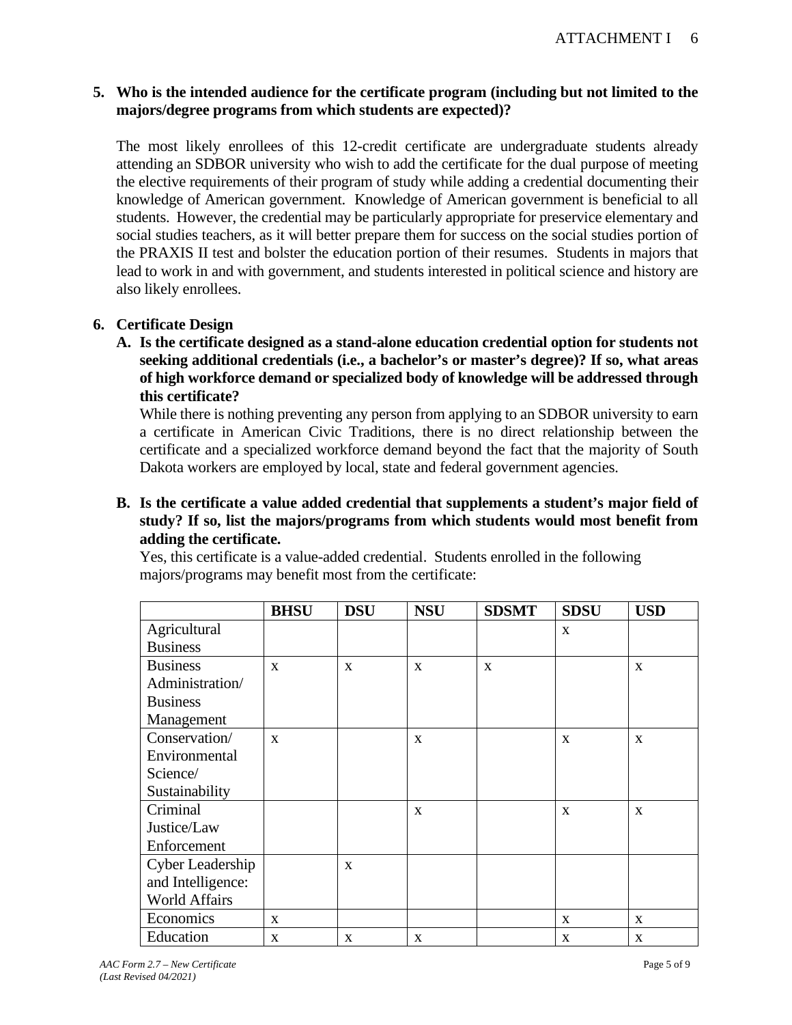# **5. Who is the intended audience for the certificate program (including but not limited to the majors/degree programs from which students are expected)?**

The most likely enrollees of this 12-credit certificate are undergraduate students already attending an SDBOR university who wish to add the certificate for the dual purpose of meeting the elective requirements of their program of study while adding a credential documenting their knowledge of American government. Knowledge of American government is beneficial to all students. However, the credential may be particularly appropriate for preservice elementary and social studies teachers, as it will better prepare them for success on the social studies portion of the PRAXIS II test and bolster the education portion of their resumes. Students in majors that lead to work in and with government, and students interested in political science and history are also likely enrollees.

# **6. Certificate Design**

**A. Is the certificate designed as a stand-alone education credential option for students not seeking additional credentials (i.e., a bachelor's or master's degree)? If so, what areas of high workforce demand or specialized body of knowledge will be addressed through this certificate?**

While there is nothing preventing any person from applying to an SDBOR university to earn a certificate in American Civic Traditions, there is no direct relationship between the certificate and a specialized workforce demand beyond the fact that the majority of South Dakota workers are employed by local, state and federal government agencies.

# **B. Is the certificate a value added credential that supplements a student's major field of study? If so, list the majors/programs from which students would most benefit from adding the certificate.**

|                      | <b>BHSU</b>  | <b>DSU</b>   | <b>NSU</b>   | <b>SDSMT</b> | <b>SDSU</b>  | <b>USD</b>   |
|----------------------|--------------|--------------|--------------|--------------|--------------|--------------|
| Agricultural         |              |              |              |              | $\mathbf{x}$ |              |
| <b>Business</b>      |              |              |              |              |              |              |
| <b>Business</b>      | $\mathbf{X}$ | $\mathbf{x}$ | $\mathbf{x}$ | $\mathbf{X}$ |              | $\mathbf{x}$ |
| Administration/      |              |              |              |              |              |              |
| <b>Business</b>      |              |              |              |              |              |              |
| Management           |              |              |              |              |              |              |
| Conservation/        | $\mathbf{x}$ |              | $\mathbf{x}$ |              | $\mathbf{x}$ | $\mathbf{x}$ |
| Environmental        |              |              |              |              |              |              |
| Science/             |              |              |              |              |              |              |
| Sustainability       |              |              |              |              |              |              |
| Criminal             |              |              | X            |              | $\mathbf{x}$ | $\mathbf{x}$ |
| Justice/Law          |              |              |              |              |              |              |
| Enforcement          |              |              |              |              |              |              |
| Cyber Leadership     |              | $\mathbf{X}$ |              |              |              |              |
| and Intelligence:    |              |              |              |              |              |              |
| <b>World Affairs</b> |              |              |              |              |              |              |
| Economics            | $\mathbf{x}$ |              |              |              | $\mathbf{x}$ | $\mathbf{x}$ |
| Education            | $\mathbf X$  | $\mathbf X$  | $\mathbf X$  |              | X            | X            |

Yes, this certificate is a value-added credential. Students enrolled in the following majors/programs may benefit most from the certificate: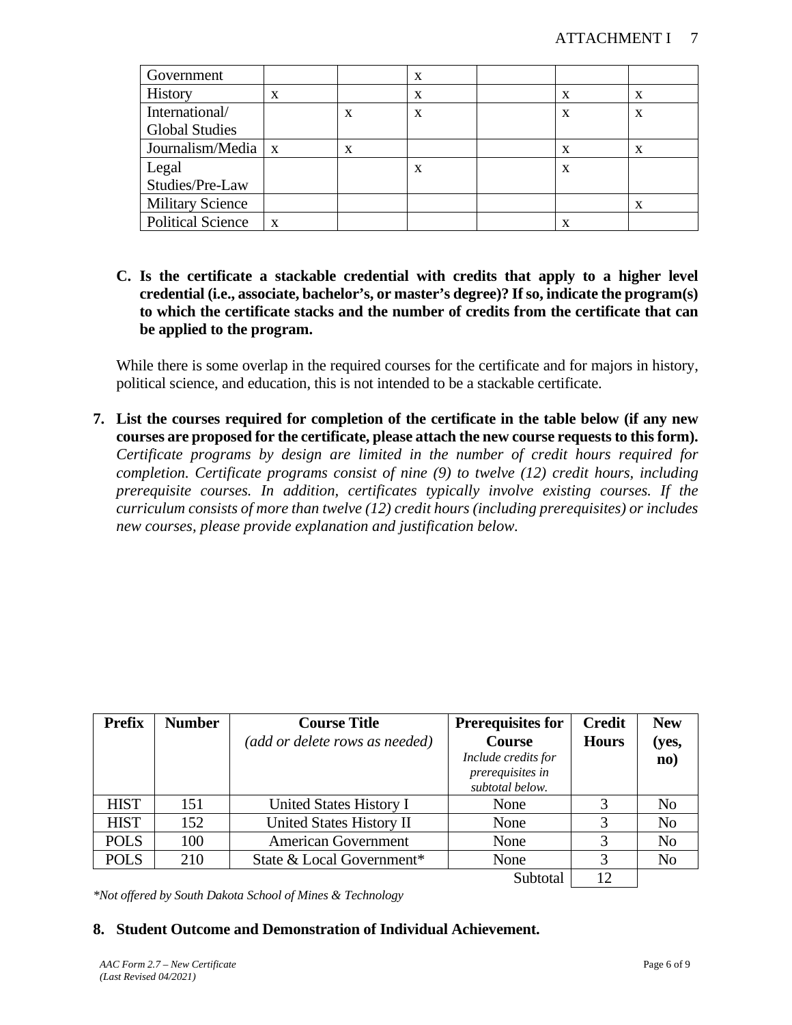| Government               |   |   | X |   |   |
|--------------------------|---|---|---|---|---|
| History                  | x |   | X | X | X |
| International/           |   | X | x |   | X |
| <b>Global Studies</b>    |   |   |   |   |   |
| Journalism/Media   x     |   | X |   |   |   |
| Legal                    |   |   | X | X |   |
| Studies/Pre-Law          |   |   |   |   |   |
| <b>Military Science</b>  |   |   |   |   | X |
| <b>Political Science</b> | X |   |   |   |   |

**C. Is the certificate a stackable credential with credits that apply to a higher level credential (i.e., associate, bachelor's, or master's degree)? If so, indicate the program(s) to which the certificate stacks and the number of credits from the certificate that can be applied to the program.** 

While there is some overlap in the required courses for the certificate and for majors in history, political science, and education, this is not intended to be a stackable certificate.

**7. List the courses required for completion of the certificate in the table below (if any new courses are proposed for the certificate, please attach the new course requests to this form).**  *Certificate programs by design are limited in the number of credit hours required for completion. Certificate programs consist of nine (9) to twelve (12) credit hours, including prerequisite courses. In addition, certificates typically involve existing courses. If the curriculum consists of more than twelve (12) credit hours (including prerequisites) or includes new courses, please provide explanation and justification below.*

| <b>Prefix</b> | <b>Number</b> | <b>Course Title</b><br>(add or delete rows as needed) | <b>Prerequisites for</b><br><b>Course</b><br>Include credits for<br>prerequisites in<br>subtotal below. | <b>Credit</b><br><b>Hours</b> | <b>New</b><br>(yes,<br>$\mathbf{no}$ ) |
|---------------|---------------|-------------------------------------------------------|---------------------------------------------------------------------------------------------------------|-------------------------------|----------------------------------------|
| <b>HIST</b>   | 151           | United States History I                               | None                                                                                                    |                               | N <sub>0</sub>                         |
| <b>HIST</b>   | 152           | United States History II                              | None                                                                                                    |                               | N <sub>o</sub>                         |
| <b>POLS</b>   | 100           | <b>American Government</b>                            | None                                                                                                    |                               | N <sub>o</sub>                         |
| <b>POLS</b>   | 210           | State & Local Government*                             | None                                                                                                    |                               | N <sub>o</sub>                         |
|               |               |                                                       | Subtotal                                                                                                |                               |                                        |

*\*Not offered by South Dakota School of Mines & Technology*

## **8. Student Outcome and Demonstration of Individual Achievement.**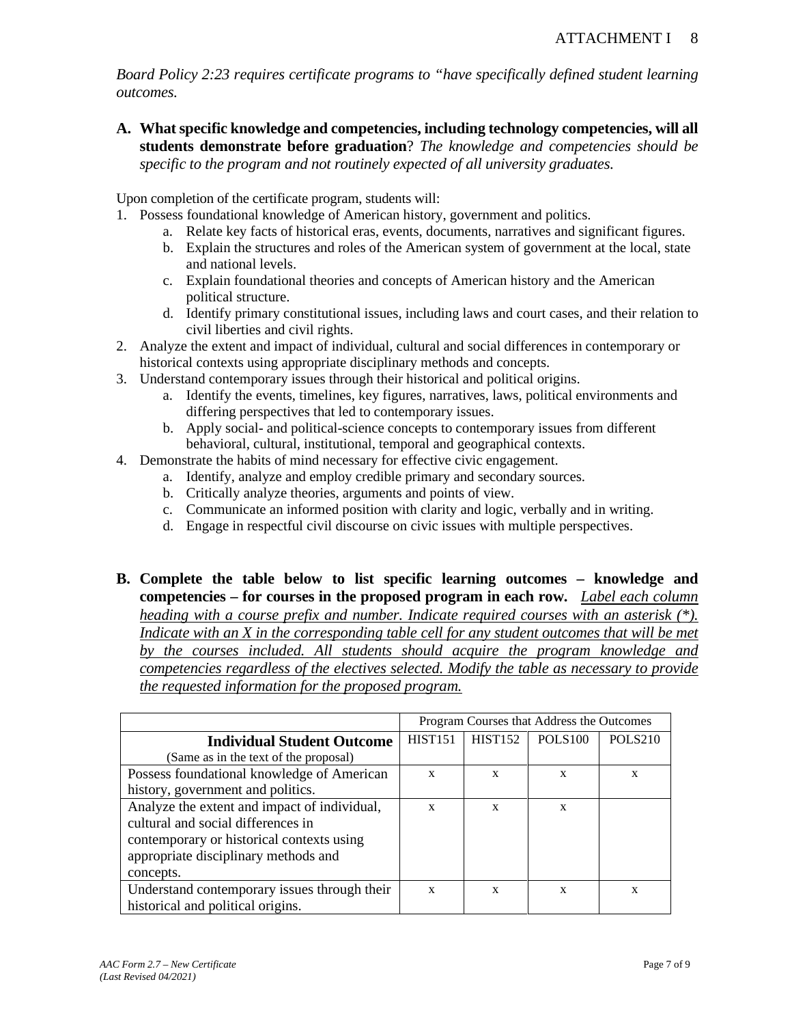*Board Policy 2:23 requires certificate programs to "have specifically defined student learning outcomes.* 

**A. What specific knowledge and competencies, including technology competencies, will all students demonstrate before graduation**? *The knowledge and competencies should be specific to the program and not routinely expected of all university graduates.*

Upon completion of the certificate program, students will:

- 1. Possess foundational knowledge of American history, government and politics.
	- a. Relate key facts of historical eras, events, documents, narratives and significant figures.
	- b. Explain the structures and roles of the American system of government at the local, state and national levels.
	- c. Explain foundational theories and concepts of American history and the American political structure.
	- d. Identify primary constitutional issues, including laws and court cases, and their relation to civil liberties and civil rights.
- 2. Analyze the extent and impact of individual, cultural and social differences in contemporary or historical contexts using appropriate disciplinary methods and concepts.
- 3. Understand contemporary issues through their historical and political origins.
	- a. Identify the events, timelines, key figures, narratives, laws, political environments and differing perspectives that led to contemporary issues.
	- b. Apply social- and political-science concepts to contemporary issues from different behavioral, cultural, institutional, temporal and geographical contexts.
- 4. Demonstrate the habits of mind necessary for effective civic engagement.
	- a. Identify, analyze and employ credible primary and secondary sources.
	- b. Critically analyze theories, arguments and points of view.
	- c. Communicate an informed position with clarity and logic, verbally and in writing.
	- d. Engage in respectful civil discourse on civic issues with multiple perspectives.
- **B. Complete the table below to list specific learning outcomes knowledge and competencies – for courses in the proposed program in each row.** *Label each column heading with a course prefix and number. Indicate required courses with an asterisk (\*). Indicate with an X in the corresponding table cell for any student outcomes that will be met by the courses included. All students should acquire the program knowledge and competencies regardless of the electives selected. Modify the table as necessary to provide the requested information for the proposed program.*

|                                              | Program Courses that Address the Outcomes |                |                     |                     |
|----------------------------------------------|-------------------------------------------|----------------|---------------------|---------------------|
| <b>Individual Student Outcome</b>            | <b>HIST151</b>                            | <b>HIST152</b> | POLS <sub>100</sub> | POLS <sub>210</sub> |
| (Same as in the text of the proposal)        |                                           |                |                     |                     |
| Possess foundational knowledge of American   | X                                         | X              | X                   | X                   |
| history, government and politics.            |                                           |                |                     |                     |
| Analyze the extent and impact of individual, | X                                         | $\mathbf{x}$   | X                   |                     |
| cultural and social differences in           |                                           |                |                     |                     |
| contemporary or historical contexts using    |                                           |                |                     |                     |
| appropriate disciplinary methods and         |                                           |                |                     |                     |
| concepts.                                    |                                           |                |                     |                     |
| Understand contemporary issues through their | X                                         | $\mathbf{x}$   | X                   | X                   |
| historical and political origins.            |                                           |                |                     |                     |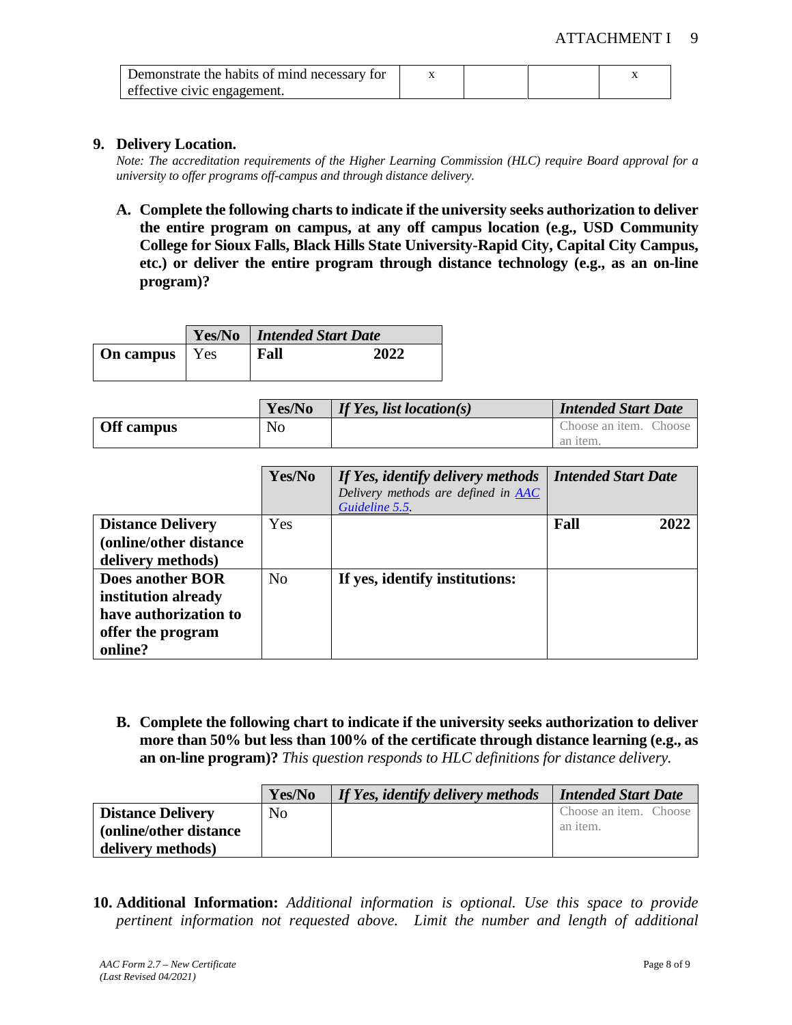| Demonstrate the habits of mind necessary for |  |  |
|----------------------------------------------|--|--|
| effective civic engagement.                  |  |  |

#### **9. Delivery Location.**

*Note: The accreditation requirements of the Higher Learning Commission (HLC) require Board approval for a university to offer programs off-campus and through distance delivery.*

**A. Complete the following charts to indicate if the university seeks authorization to deliver the entire program on campus, at any off campus location (e.g., USD Community College for Sioux Falls, Black Hills State University-Rapid City, Capital City Campus, etc.) or deliver the entire program through distance technology (e.g., as an on-line program)?**

|                        | <b>Yes/No</b>   <b>Intended Start Date</b> |      |  |
|------------------------|--------------------------------------------|------|--|
| <b>On campus</b>   Yes | Fall                                       | 2022 |  |

|            | Yes/No | If Yes, list location(s) | <b>Intended Start Date</b> |
|------------|--------|--------------------------|----------------------------|
| Off campus | No     |                          | Choose an item. Choose     |
|            |        |                          | an item.                   |

|                          | Yes/No         | If Yes, identify delivery methods<br>Delivery methods are defined in <b>AAC</b><br>Guideline 5.5. | <b>Intended Start Date</b> |      |
|--------------------------|----------------|---------------------------------------------------------------------------------------------------|----------------------------|------|
| <b>Distance Delivery</b> | Yes            |                                                                                                   | Fall                       | 2022 |
| (online/other distance   |                |                                                                                                   |                            |      |
| delivery methods)        |                |                                                                                                   |                            |      |
| Does another BOR         | N <sub>o</sub> | If yes, identify institutions:                                                                    |                            |      |
| institution already      |                |                                                                                                   |                            |      |
| have authorization to    |                |                                                                                                   |                            |      |
| offer the program        |                |                                                                                                   |                            |      |
| online?                  |                |                                                                                                   |                            |      |

**B. Complete the following chart to indicate if the university seeks authorization to deliver more than 50% but less than 100% of the certificate through distance learning (e.g., as an on-line program)?** *This question responds to HLC definitions for distance delivery.*

|                          | Yes/No | If Yes, identify delivery methods | <b>Intended Start Date</b> |
|--------------------------|--------|-----------------------------------|----------------------------|
| <b>Distance Delivery</b> | No     |                                   | Choose an item. Choose     |
| (online/other distance)  |        |                                   | an <i>item</i> .           |
| delivery methods)        |        |                                   |                            |

**10. Additional Information:** *Additional information is optional. Use this space to provide pertinent information not requested above. Limit the number and length of additional*